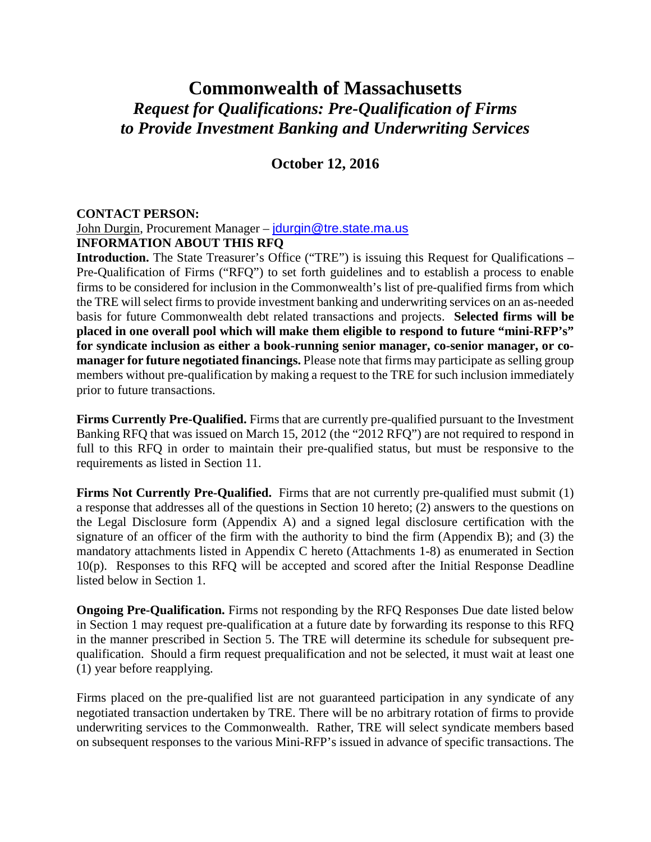# **Commonwealth of Massachusetts** *Request for Qualifications: Pre-Qualification of Firms to Provide Investment Banking and Underwriting Services*

# **October 12, 2016**

#### **CONTACT PERSON:**

# John Durgin, Procurement Manager – [jdurgin@tre.state.ma.us](mailto:jdurgin@tre.state.ma.us)

#### **INFORMATION ABOUT THIS RFQ**

**Introduction.** The State Treasurer's Office ("TRE") is issuing this Request for Qualifications – Pre-Qualification of Firms ("RFQ") to set forth guidelines and to establish a process to enable firms to be considered for inclusion in the Commonwealth's list of pre-qualified firms from which the TRE will select firms to provide investment banking and underwriting services on an as-needed basis for future Commonwealth debt related transactions and projects. **Selected firms will be placed in one overall pool which will make them eligible to respond to future "mini-RFP's" for syndicate inclusion as either a book-running senior manager, co-senior manager, or comanager for future negotiated financings.** Please note that firms may participate as selling group members without pre-qualification by making a request to the TRE for such inclusion immediately prior to future transactions.

**Firms Currently Pre-Qualified.** Firms that are currently pre-qualified pursuant to the Investment Banking RFQ that was issued on March 15, 2012 (the "2012 RFQ") are not required to respond in full to this RFQ in order to maintain their pre-qualified status, but must be responsive to the requirements as listed in Section 11.

**Firms Not Currently Pre-Qualified.** Firms that are not currently pre-qualified must submit (1) a response that addresses all of the questions in Section 10 hereto; (2) answers to the questions on the Legal Disclosure form (Appendix A) and a signed legal disclosure certification with the signature of an officer of the firm with the authority to bind the firm (Appendix B); and (3) the mandatory attachments listed in Appendix C hereto (Attachments 1-8) as enumerated in Section 10(p). Responses to this RFQ will be accepted and scored after the Initial Response Deadline listed below in Section 1.

**Ongoing Pre-Qualification.** Firms not responding by the RFQ Responses Due date listed below in Section 1 may request pre-qualification at a future date by forwarding its response to this RFQ in the manner prescribed in Section 5. The TRE will determine its schedule for subsequent prequalification. Should a firm request prequalification and not be selected, it must wait at least one (1) year before reapplying.

Firms placed on the pre-qualified list are not guaranteed participation in any syndicate of any negotiated transaction undertaken by TRE. There will be no arbitrary rotation of firms to provide underwriting services to the Commonwealth. Rather, TRE will select syndicate members based on subsequent responses to the various Mini-RFP's issued in advance of specific transactions. The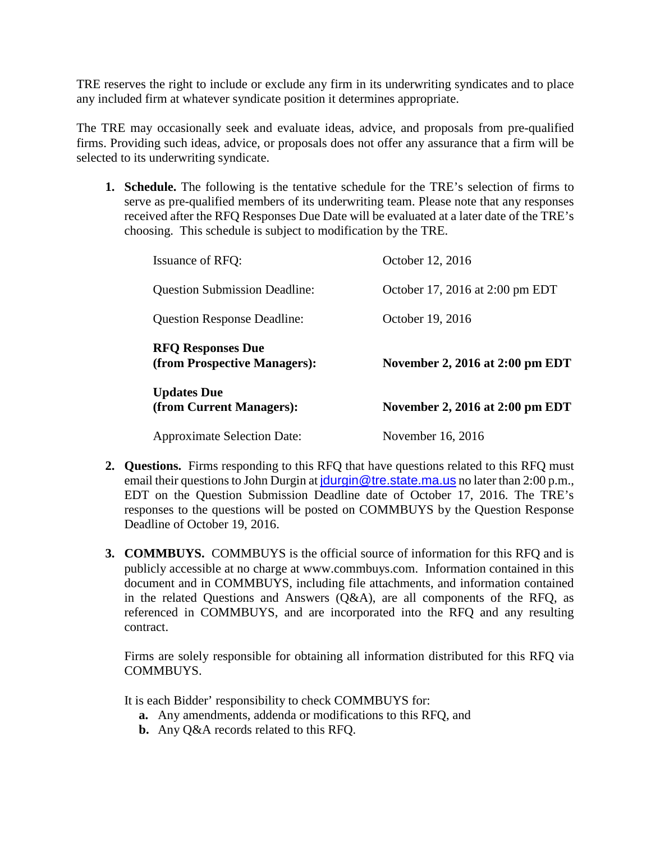TRE reserves the right to include or exclude any firm in its underwriting syndicates and to place any included firm at whatever syndicate position it determines appropriate.

The TRE may occasionally seek and evaluate ideas, advice, and proposals from pre-qualified firms. Providing such ideas, advice, or proposals does not offer any assurance that a firm will be selected to its underwriting syndicate.

**1. Schedule.** The following is the tentative schedule for the TRE's selection of firms to serve as pre-qualified members of its underwriting team. Please note that any responses received after the RFQ Responses Due Date will be evaluated at a later date of the TRE's choosing. This schedule is subject to modification by the TRE.

| <b>Issuance of RFQ:</b>                                  | October 12, 2016                       |
|----------------------------------------------------------|----------------------------------------|
| <b>Question Submission Deadline:</b>                     | October 17, 2016 at 2:00 pm EDT        |
| <b>Question Response Deadline:</b>                       | October 19, 2016                       |
| <b>RFQ Responses Due</b><br>(from Prospective Managers): | <b>November 2, 2016 at 2:00 pm EDT</b> |
| <b>Updates Due</b><br>(from Current Managers):           | November 2, 2016 at 2:00 pm EDT        |
| <b>Approximate Selection Date:</b>                       | November 16, 2016                      |

- **2. Questions.** Firms responding to this RFQ that have questions related to this RFQ must email their questions to John Durgin at journal of the state malus no later than 2:00 p.m., EDT on the Question Submission Deadline date of October 17, 2016. The TRE's responses to the questions will be posted on COMMBUYS by the Question Response Deadline of October 19, 2016.
- **3. COMMBUYS.** COMMBUYS is the official source of information for this RFQ and is publicly accessible at no charge at www.commbuys.com. Information contained in this document and in COMMBUYS, including file attachments, and information contained in the related Questions and Answers (Q&A), are all components of the RFQ, as referenced in COMMBUYS, and are incorporated into the RFQ and any resulting contract.

Firms are solely responsible for obtaining all information distributed for this RFQ via COMMBUYS.

It is each Bidder' responsibility to check COMMBUYS for:

- **a.** Any amendments, addenda or modifications to this RFQ, and
- **b.** Any Q&A records related to this RFQ.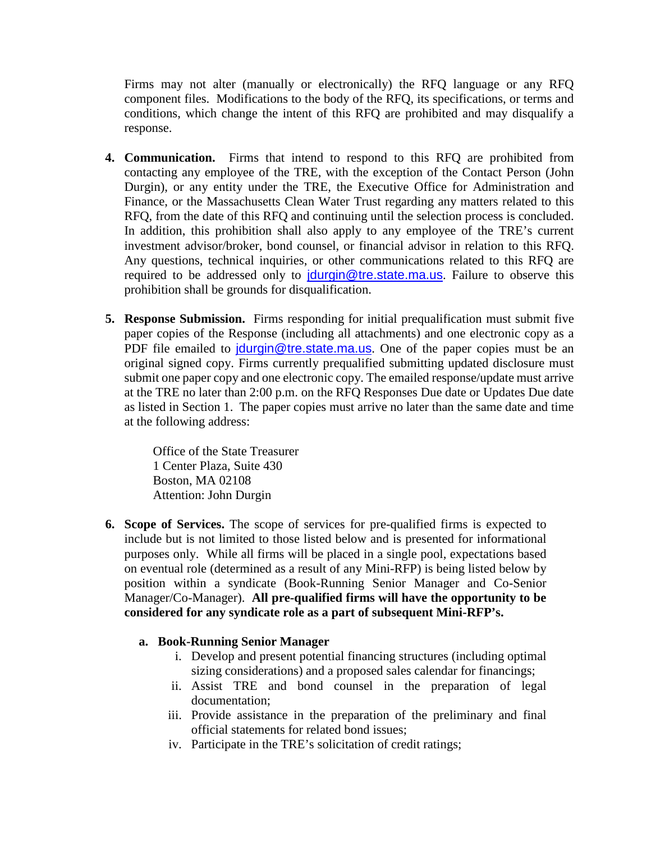Firms may not alter (manually or electronically) the RFQ language or any RFQ component files. Modifications to the body of the RFQ, its specifications, or terms and conditions, which change the intent of this RFQ are prohibited and may disqualify a response.

- **4. Communication.** Firms that intend to respond to this RFQ are prohibited from contacting any employee of the TRE, with the exception of the Contact Person (John Durgin), or any entity under the TRE, the Executive Office for Administration and Finance, or the Massachusetts Clean Water Trust regarding any matters related to this RFQ, from the date of this RFQ and continuing until the selection process is concluded. In addition, this prohibition shall also apply to any employee of the TRE's current investment advisor/broker, bond counsel, or financial advisor in relation to this RFQ. Any questions, technical inquiries, or other communications related to this RFQ are required to be addressed only to jourgin@tre.state.ma.us. Failure to observe this prohibition shall be grounds for disqualification.
- **5. Response Submission.** Firms responding for initial prequalification must submit five paper copies of the Response (including all attachments) and one electronic copy as a PDF file emailed to jourgin@tre.state.ma.us. One of the paper copies must be an original signed copy. Firms currently prequalified submitting updated disclosure must submit one paper copy and one electronic copy. The emailed response/update must arrive at the TRE no later than 2:00 p.m. on the RFQ Responses Due date or Updates Due date as listed in Section 1. The paper copies must arrive no later than the same date and time at the following address:

Office of the State Treasurer 1 Center Plaza, Suite 430 Boston, MA 02108 Attention: John Durgin

**6. Scope of Services.** The scope of services for pre-qualified firms is expected to include but is not limited to those listed below and is presented for informational purposes only. While all firms will be placed in a single pool, expectations based on eventual role (determined as a result of any Mini-RFP) is being listed below by position within a syndicate (Book-Running Senior Manager and Co-Senior Manager/Co-Manager). **All pre-qualified firms will have the opportunity to be considered for any syndicate role as a part of subsequent Mini-RFP's.**

#### **a. Book-Running Senior Manager**

- i. Develop and present potential financing structures (including optimal sizing considerations) and a proposed sales calendar for financings;
- ii. Assist TRE and bond counsel in the preparation of legal documentation;
- iii. Provide assistance in the preparation of the preliminary and final official statements for related bond issues;
- iv. Participate in the TRE's solicitation of credit ratings;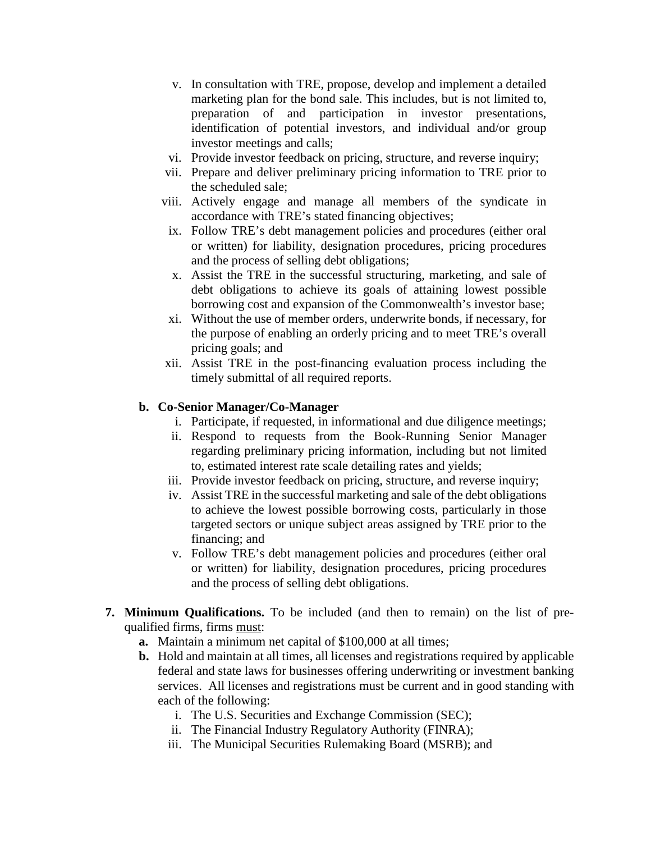- v. In consultation with TRE, propose, develop and implement a detailed marketing plan for the bond sale. This includes, but is not limited to, preparation of and participation in investor presentations, identification of potential investors, and individual and/or group investor meetings and calls;
- vi. Provide investor feedback on pricing, structure, and reverse inquiry;
- vii. Prepare and deliver preliminary pricing information to TRE prior to the scheduled sale;
- viii. Actively engage and manage all members of the syndicate in accordance with TRE's stated financing objectives;
- ix. Follow TRE's debt management policies and procedures (either oral or written) for liability, designation procedures, pricing procedures and the process of selling debt obligations;
- x. Assist the TRE in the successful structuring, marketing, and sale of debt obligations to achieve its goals of attaining lowest possible borrowing cost and expansion of the Commonwealth's investor base;
- xi. Without the use of member orders, underwrite bonds, if necessary, for the purpose of enabling an orderly pricing and to meet TRE's overall pricing goals; and
- xii. Assist TRE in the post-financing evaluation process including the timely submittal of all required reports.

#### **b. Co-Senior Manager/Co-Manager**

- i. Participate, if requested, in informational and due diligence meetings;
- ii. Respond to requests from the Book-Running Senior Manager regarding preliminary pricing information, including but not limited to, estimated interest rate scale detailing rates and yields;
- iii. Provide investor feedback on pricing, structure, and reverse inquiry;
- iv. Assist TRE in the successful marketing and sale of the debt obligations to achieve the lowest possible borrowing costs, particularly in those targeted sectors or unique subject areas assigned by TRE prior to the financing; and
- v. Follow TRE's debt management policies and procedures (either oral or written) for liability, designation procedures, pricing procedures and the process of selling debt obligations.
- **7. Minimum Qualifications.** To be included (and then to remain) on the list of prequalified firms, firms must:
	- **a.** Maintain a minimum net capital of \$100,000 at all times;
	- **b.** Hold and maintain at all times, all licenses and registrations required by applicable federal and state laws for businesses offering underwriting or investment banking services. All licenses and registrations must be current and in good standing with each of the following:
		- i. The U.S. Securities and Exchange Commission (SEC);
		- ii. The Financial Industry Regulatory Authority (FINRA);
		- iii. The Municipal Securities Rulemaking Board (MSRB); and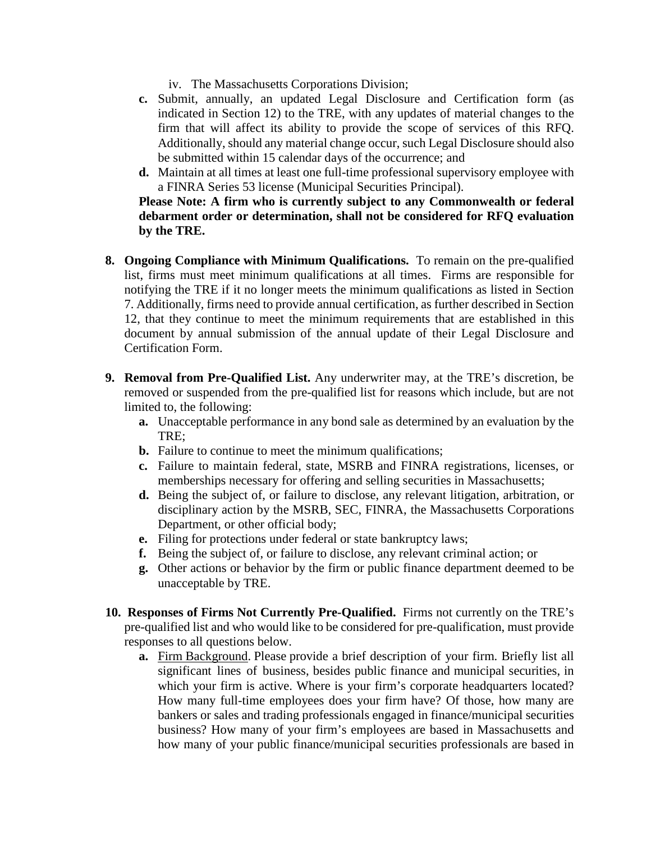- iv. The Massachusetts Corporations Division;
- **c.** Submit, annually, an updated Legal Disclosure and Certification form (as indicated in Section 12) to the TRE, with any updates of material changes to the firm that will affect its ability to provide the scope of services of this RFQ. Additionally, should any material change occur, such Legal Disclosure should also be submitted within 15 calendar days of the occurrence; and
- **d.** Maintain at all times at least one full-time professional supervisory employee with a FINRA Series 53 license (Municipal Securities Principal).

**Please Note: A firm who is currently subject to any Commonwealth or federal debarment order or determination, shall not be considered for RFQ evaluation by the TRE.**

- **8. Ongoing Compliance with Minimum Qualifications.** To remain on the pre-qualified list, firms must meet minimum qualifications at all times. Firms are responsible for notifying the TRE if it no longer meets the minimum qualifications as listed in Section 7. Additionally, firms need to provide annual certification, as further described in Section 12, that they continue to meet the minimum requirements that are established in this document by annual submission of the annual update of their Legal Disclosure and Certification Form.
- **9. Removal from Pre-Qualified List.** Any underwriter may, at the TRE's discretion, be removed or suspended from the pre-qualified list for reasons which include, but are not limited to, the following:
	- **a.** Unacceptable performance in any bond sale as determined by an evaluation by the TRE;
	- **b.** Failure to continue to meet the minimum qualifications;
	- **c.** Failure to maintain federal, state, MSRB and FINRA registrations, licenses, or memberships necessary for offering and selling securities in Massachusetts;
	- **d.** Being the subject of, or failure to disclose, any relevant litigation, arbitration, or disciplinary action by the MSRB, SEC, FINRA, the Massachusetts Corporations Department, or other official body;
	- **e.** Filing for protections under federal or state bankruptcy laws;
	- **f.** Being the subject of, or failure to disclose, any relevant criminal action; or
	- **g.** Other actions or behavior by the firm or public finance department deemed to be unacceptable by TRE.
- **10. Responses of Firms Not Currently Pre-Qualified.** Firms not currently on the TRE's pre-qualified list and who would like to be considered for pre-qualification, must provide responses to all questions below.
	- **a.** Firm Background. Please provide a brief description of your firm. Briefly list all significant lines of business, besides public finance and municipal securities, in which your firm is active. Where is your firm's corporate headquarters located? How many full-time employees does your firm have? Of those, how many are bankers or sales and trading professionals engaged in finance/municipal securities business? How many of your firm's employees are based in Massachusetts and how many of your public finance/municipal securities professionals are based in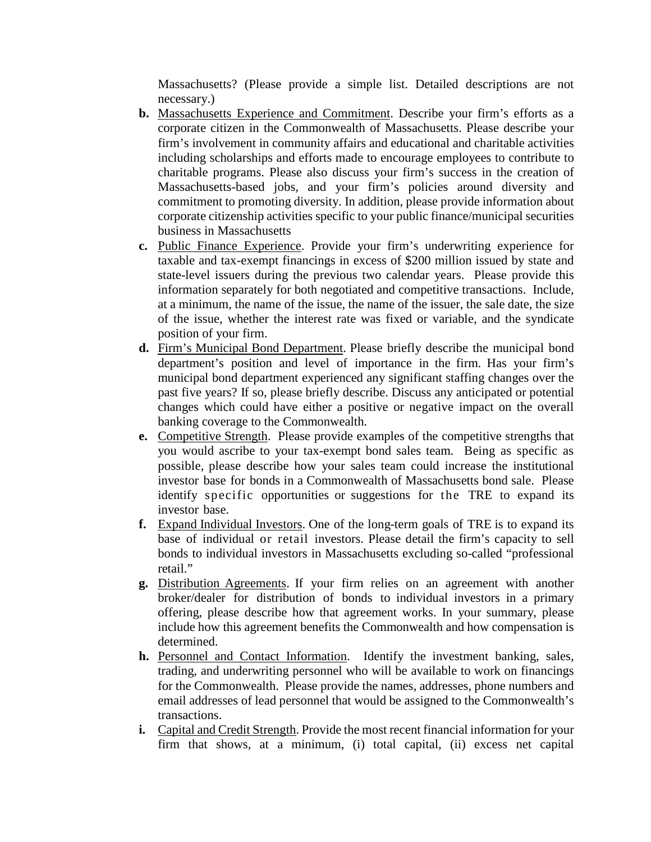Massachusetts? (Please provide a simple list. Detailed descriptions are not necessary.)

- **b.** Massachusetts Experience and Commitment. Describe your firm's efforts as a corporate citizen in the Commonwealth of Massachusetts. Please describe your firm's involvement in community affairs and educational and charitable activities including scholarships and efforts made to encourage employees to contribute to charitable programs. Please also discuss your firm's success in the creation of Massachusetts-based jobs, and your firm's policies around diversity and commitment to promoting diversity. In addition, please provide information about corporate citizenship activities specific to your public finance/municipal securities business in Massachusetts
- **c.** Public Finance Experience. Provide your firm's underwriting experience for taxable and tax-exempt financings in excess of \$200 million issued by state and state-level issuers during the previous two calendar years. Please provide this information separately for both negotiated and competitive transactions. Include, at a minimum, the name of the issue, the name of the issuer, the sale date, the size of the issue, whether the interest rate was fixed or variable, and the syndicate position of your firm.
- **d.** Firm's Municipal Bond Department. Please briefly describe the municipal bond department's position and level of importance in the firm. Has your firm's municipal bond department experienced any significant staffing changes over the past five years? If so, please briefly describe. Discuss any anticipated or potential changes which could have either a positive or negative impact on the overall banking coverage to the Commonwealth.
- **e.** Competitive Strength. Please provide examples of the competitive strengths that you would ascribe to your tax-exempt bond sales team. Being as specific as possible, please describe how your sales team could increase the institutional investor base for bonds in a Commonwealth of Massachusetts bond sale. Please identify specific opportunities or suggestions for the TRE to expand its investor base.
- **f.** Expand Individual Investors. One of the long-term goals of TRE is to expand its base of individual or retail investors. Please detail the firm's capacity to sell bonds to individual investors in Massachusetts excluding so-called "professional retail."
- **g.** Distribution Agreements. If your firm relies on an agreement with another broker/dealer for distribution of bonds to individual investors in a primary offering, please describe how that agreement works. In your summary, please include how this agreement benefits the Commonwealth and how compensation is determined.
- **h.** Personnel and Contact Information. Identify the investment banking, sales, trading, and underwriting personnel who will be available to work on financings for the Commonwealth. Please provide the names, addresses, phone numbers and email addresses of lead personnel that would be assigned to the Commonwealth's transactions.
- **i.** Capital and Credit Strength. Provide the most recent financial information for your firm that shows, at a minimum, (i) total capital, (ii) excess net capital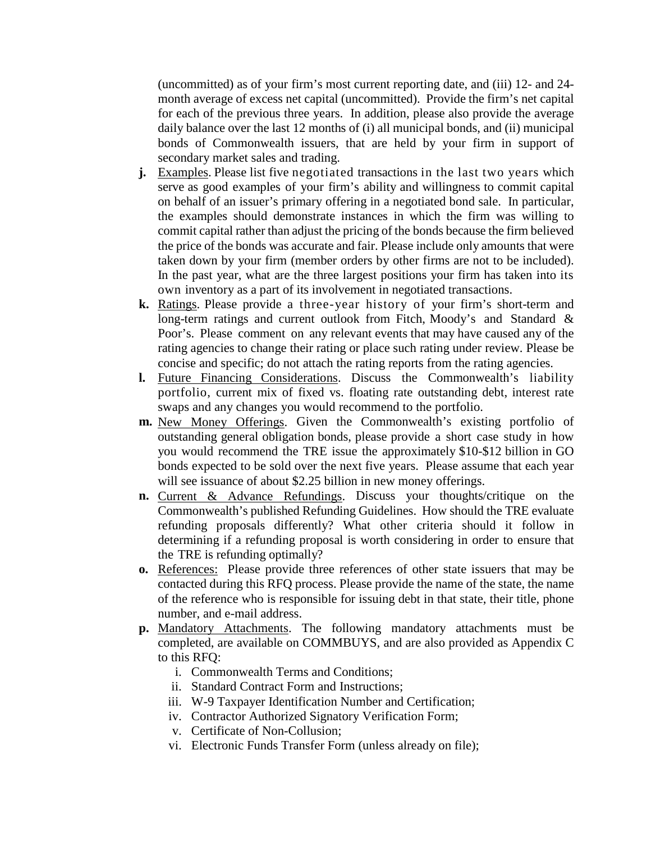(uncommitted) as of your firm's most current reporting date, and (iii) 12- and 24 month average of excess net capital (uncommitted). Provide the firm's net capital for each of the previous three years. In addition, please also provide the average daily balance over the last 12 months of (i) all municipal bonds, and (ii) municipal bonds of Commonwealth issuers, that are held by your firm in support of secondary market sales and trading.

- **j.** Examples. Please list five negotiated transactions in the last two years which serve as good examples of your firm's ability and willingness to commit capital on behalf of an issuer's primary offering in a negotiated bond sale. In particular, the examples should demonstrate instances in which the firm was willing to commit capital rather than adjust the pricing of the bonds because the firm believed the price of the bonds was accurate and fair. Please include only amounts that were taken down by your firm (member orders by other firms are not to be included). In the past year, what are the three largest positions your firm has taken into its own inventory as a part of its involvement in negotiated transactions.
- **k.** Ratings. Please provide a three-year history of your firm's short-term and long-term ratings and current outlook from Fitch, Moody's and Standard & Poor's. Please comment on any relevant events that may have caused any of the rating agencies to change their rating or place such rating under review. Please be concise and specific; do not attach the rating reports from the rating agencies.
- **l.** Future Financing Considerations. Discuss the Commonwealth's liability portfolio, current mix of fixed vs. floating rate outstanding debt, interest rate swaps and any changes you would recommend to the portfolio.
- **m.** New Money Offerings. Given the Commonwealth's existing portfolio of outstanding general obligation bonds, please provide a short case study in how you would recommend the TRE issue the approximately \$10-\$12 billion in GO bonds expected to be sold over the next five years. Please assume that each year will see issuance of about \$2.25 billion in new money offerings.
- **n.** Current & Advance Refundings. Discuss your thoughts/critique on the Commonwealth's published Refunding Guidelines. How should the TRE evaluate refunding proposals differently? What other criteria should it follow in determining if a refunding proposal is worth considering in order to ensure that the TRE is refunding optimally?
- **o.** References: Please provide three references of other state issuers that may be contacted during this RFQ process. Please provide the name of the state, the name of the reference who is responsible for issuing debt in that state, their title, phone number, and e-mail address.
- **p.** Mandatory Attachments. The following mandatory attachments must be completed, are available on COMMBUYS, and are also provided as Appendix C to this RFQ:
	- i. Commonwealth Terms and Conditions;
	- ii. Standard Contract Form and Instructions;
	- iii. W-9 Taxpayer Identification Number and Certification;
	- iv. Contractor Authorized Signatory Verification Form;
	- v. Certificate of Non-Collusion;
	- vi. Electronic Funds Transfer Form (unless already on file);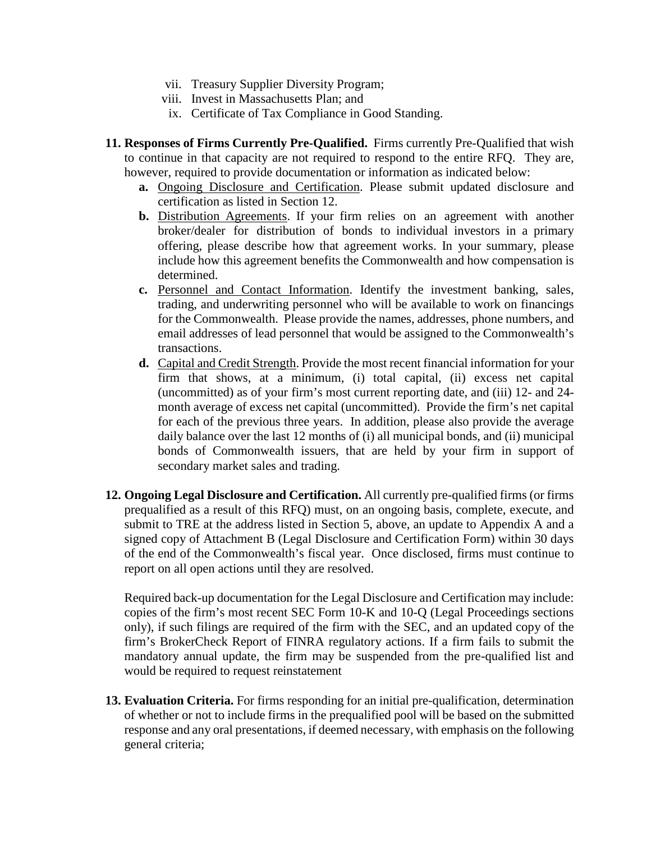- vii. Treasury Supplier Diversity Program;
- viii. Invest in Massachusetts Plan; and
- ix. Certificate of Tax Compliance in Good Standing.
- **11. Responses of Firms Currently Pre-Qualified.** Firms currently Pre-Qualified that wish to continue in that capacity are not required to respond to the entire RFQ. They are, however, required to provide documentation or information as indicated below:
	- **a.** Ongoing Disclosure and Certification. Please submit updated disclosure and certification as listed in Section 12.
	- **b.** Distribution Agreements. If your firm relies on an agreement with another broker/dealer for distribution of bonds to individual investors in a primary offering, please describe how that agreement works. In your summary, please include how this agreement benefits the Commonwealth and how compensation is determined.
	- **c.** Personnel and Contact Information. Identify the investment banking, sales, trading, and underwriting personnel who will be available to work on financings for the Commonwealth. Please provide the names, addresses, phone numbers, and email addresses of lead personnel that would be assigned to the Commonwealth's transactions.
	- **d.** Capital and Credit Strength. Provide the most recent financial information for your firm that shows, at a minimum, (i) total capital, (ii) excess net capital (uncommitted) as of your firm's most current reporting date, and (iii) 12- and 24 month average of excess net capital (uncommitted). Provide the firm's net capital for each of the previous three years. In addition, please also provide the average daily balance over the last 12 months of (i) all municipal bonds, and (ii) municipal bonds of Commonwealth issuers, that are held by your firm in support of secondary market sales and trading.
- **12. Ongoing Legal Disclosure and Certification.** All currently pre-qualified firms (or firms prequalified as a result of this RFQ) must, on an ongoing basis, complete, execute, and submit to TRE at the address listed in Section 5, above, an update to Appendix A and a signed copy of Attachment B (Legal Disclosure and Certification Form) within 30 days of the end of the Commonwealth's fiscal year. Once disclosed, firms must continue to report on all open actions until they are resolved.

Required back-up documentation for the Legal Disclosure and Certification may include: copies of the firm's most recent SEC Form 10-K and 10-Q (Legal Proceedings sections only), if such filings are required of the firm with the SEC, and an updated copy of the firm's BrokerCheck Report of FINRA regulatory actions. If a firm fails to submit the mandatory annual update, the firm may be suspended from the pre-qualified list and would be required to request reinstatement

**13. Evaluation Criteria.** For firms responding for an initial pre-qualification, determination of whether or not to include firms in the prequalified pool will be based on the submitted response and any oral presentations, if deemed necessary, with emphasis on the following general criteria;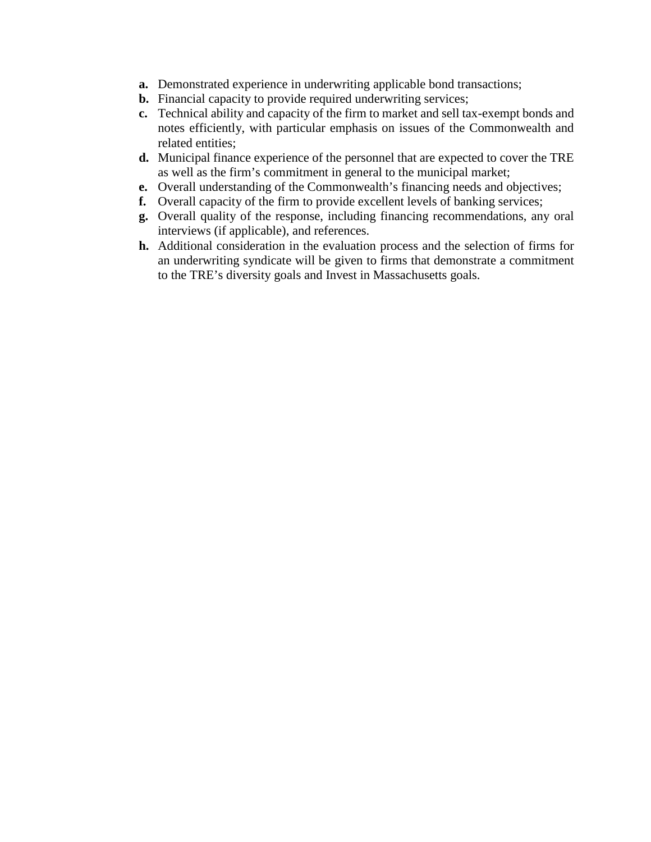- **a.** Demonstrated experience in underwriting applicable bond transactions;
- **b.** Financial capacity to provide required underwriting services;
- **c.** Technical ability and capacity of the firm to market and sell tax-exempt bonds and notes efficiently, with particular emphasis on issues of the Commonwealth and related entities;
- **d.** Municipal finance experience of the personnel that are expected to cover the TRE as well as the firm's commitment in general to the municipal market;
- **e.** Overall understanding of the Commonwealth's financing needs and objectives;
- **f.** Overall capacity of the firm to provide excellent levels of banking services;
- **g.** Overall quality of the response, including financing recommendations, any oral interviews (if applicable), and references.
- **h.** Additional consideration in the evaluation process and the selection of firms for an underwriting syndicate will be given to firms that demonstrate a commitment to the TRE's diversity goals and Invest in Massachusetts goals.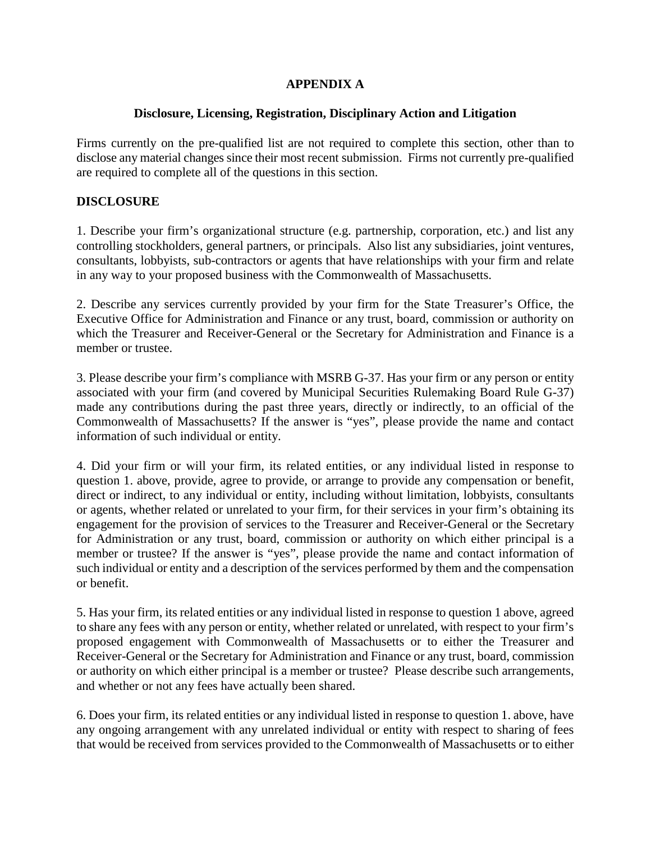## **APPENDIX A**

#### **Disclosure, Licensing, Registration, Disciplinary Action and Litigation**

Firms currently on the pre-qualified list are not required to complete this section, other than to disclose any material changes since their most recent submission. Firms not currently pre-qualified are required to complete all of the questions in this section.

#### **DISCLOSURE**

1. Describe your firm's organizational structure (e.g. partnership, corporation, etc.) and list any controlling stockholders, general partners, or principals. Also list any subsidiaries, joint ventures, consultants, lobbyists, sub-contractors or agents that have relationships with your firm and relate in any way to your proposed business with the Commonwealth of Massachusetts.

2. Describe any services currently provided by your firm for the State Treasurer's Office, the Executive Office for Administration and Finance or any trust, board, commission or authority on which the Treasurer and Receiver-General or the Secretary for Administration and Finance is a member or trustee.

3. Please describe your firm's compliance with MSRB G-37. Has your firm or any person or entity associated with your firm (and covered by Municipal Securities Rulemaking Board Rule G-37) made any contributions during the past three years, directly or indirectly, to an official of the Commonwealth of Massachusetts? If the answer is "yes", please provide the name and contact information of such individual or entity.

4. Did your firm or will your firm, its related entities, or any individual listed in response to question 1. above, provide, agree to provide, or arrange to provide any compensation or benefit, direct or indirect, to any individual or entity, including without limitation, lobbyists, consultants or agents, whether related or unrelated to your firm, for their services in your firm's obtaining its engagement for the provision of services to the Treasurer and Receiver-General or the Secretary for Administration or any trust, board, commission or authority on which either principal is a member or trustee? If the answer is "yes", please provide the name and contact information of such individual or entity and a description of the services performed by them and the compensation or benefit.

5. Has your firm, its related entities or any individual listed in response to question 1 above, agreed to share any fees with any person or entity, whether related or unrelated, with respect to your firm's proposed engagement with Commonwealth of Massachusetts or to either the Treasurer and Receiver-General or the Secretary for Administration and Finance or any trust, board, commission or authority on which either principal is a member or trustee? Please describe such arrangements, and whether or not any fees have actually been shared.

6. Does your firm, its related entities or any individual listed in response to question 1. above, have any ongoing arrangement with any unrelated individual or entity with respect to sharing of fees that would be received from services provided to the Commonwealth of Massachusetts or to either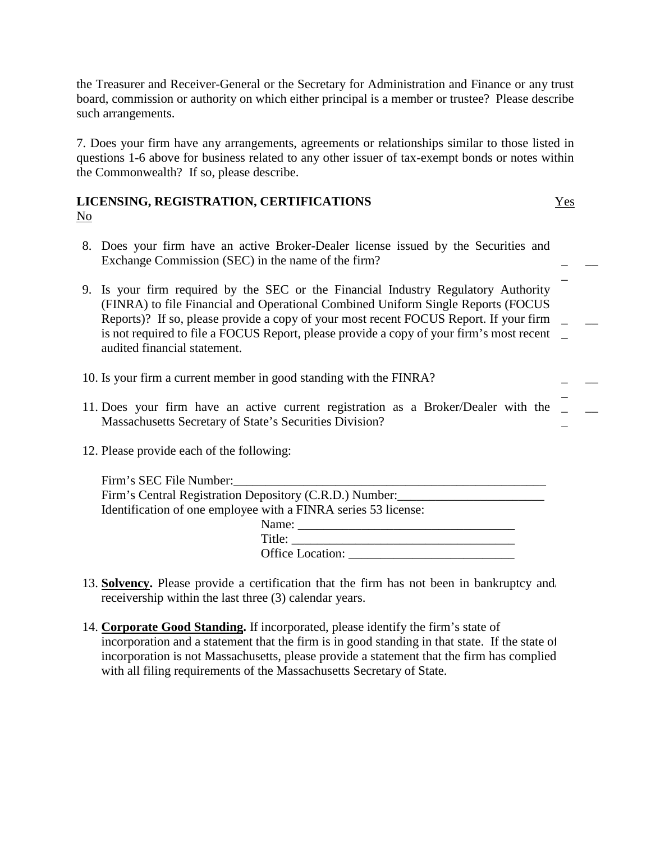the Treasurer and Receiver-General or the Secretary for Administration and Finance or any trust board, commission or authority on which either principal is a member or trustee? Please describe such arrangements.

7. Does your firm have any arrangements, agreements or relationships similar to those listed in questions 1-6 above for business related to any other issuer of tax-exempt bonds or notes within the Commonwealth? If so, please describe.

#### **LICENSING, REGISTRATION, CERTIFICATIONS** Yes No

- 8. Does your firm have an active Broker-Dealer license issued by the Securities and Exchange Commission (SEC) in the name of the firm? \_
- \_ 9. Is your firm required by the SEC or the Financial Industry Regulatory Authority (FINRA) to file Financial and Operational Combined Uniform Single Reports (FOCUS Reports)? If so, please provide a copy of your most recent FOCUS Report. If your firm \_ is not required to file a FOCUS Report, please provide a copy of your firm's most recent \_ audited financial statement.  $\overline{\phantom{a}}$
- 10. Is your firm a current member in good standing with the FINRA? \_
- 11. Does your firm have an active current registration as a Broker/Dealer with the \_ Massachusetts Secretary of State's Securities Division? \_
- 12. Please provide each of the following:

| Firm's SEC File Number:                                        |  |
|----------------------------------------------------------------|--|
| Firm's Central Registration Depository (C.R.D.) Number:        |  |
| Identification of one employee with a FINRA series 53 license: |  |
| Name:                                                          |  |
| Title:                                                         |  |
| <b>Office Location:</b>                                        |  |

- 13. **Solvency.** Please provide a certification that the firm has not been in bankruptcy and/ receivership within the last three (3) calendar years.
- 14. **Corporate Good Standing.** If incorporated, please identify the firm's state of incorporation and a statement that the firm is in good standing in that state. If the state of incorporation is not Massachusetts, please provide a statement that the firm has complied with all filing requirements of the Massachusetts Secretary of State.

\_

 $\overline{\phantom{a}}$ 

 $\overline{\phantom{a}}$ 

 $\overline{\phantom{a}}$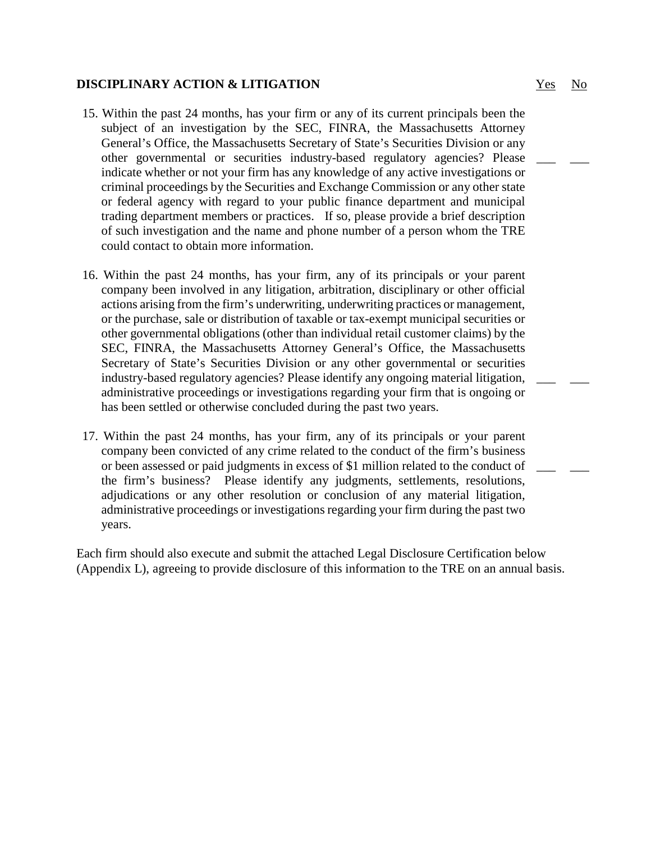#### **DISCIPLINARY ACTION & LITIGATION** WES No.

- 15. Within the past 24 months, has your firm or any of its current principals been the subject of an investigation by the SEC, FINRA, the Massachusetts Attorney General's Office, the Massachusetts Secretary of State's Securities Division or any other governmental or securities industry-based regulatory agencies? Please indicate whether or not your firm has any knowledge of any active investigations or criminal proceedings by the Securities and Exchange Commission or any other state or federal agency with regard to your public finance department and municipal trading department members or practices. If so, please provide a brief description of such investigation and the name and phone number of a person whom the TRE could contact to obtain more information.
- 16. Within the past 24 months, has your firm, any of its principals or your parent company been involved in any litigation, arbitration, disciplinary or other official actions arising from the firm's underwriting, underwriting practices or management, or the purchase, sale or distribution of taxable or tax-exempt municipal securities or other governmental obligations (other than individual retail customer claims) by the SEC, FINRA, the Massachusetts Attorney General's Office, the Massachusetts Secretary of State's Securities Division or any other governmental or securities industry-based regulatory agencies? Please identify any ongoing material litigation, administrative proceedings or investigations regarding your firm that is ongoing or has been settled or otherwise concluded during the past two years.
- 17. Within the past 24 months, has your firm, any of its principals or your parent company been convicted of any crime related to the conduct of the firm's business or been assessed or paid judgments in excess of \$1 million related to the conduct of the firm's business? Please identify any judgments, settlements, resolutions, adjudications or any other resolution or conclusion of any material litigation, administrative proceedings or investigations regarding your firm during the past two years.

Each firm should also execute and submit the attached Legal Disclosure Certification below (Appendix L), agreeing to provide disclosure of this information to the TRE on an annual basis.

\_\_\_ \_\_\_

\_\_\_ \_\_\_

\_\_\_ \_\_\_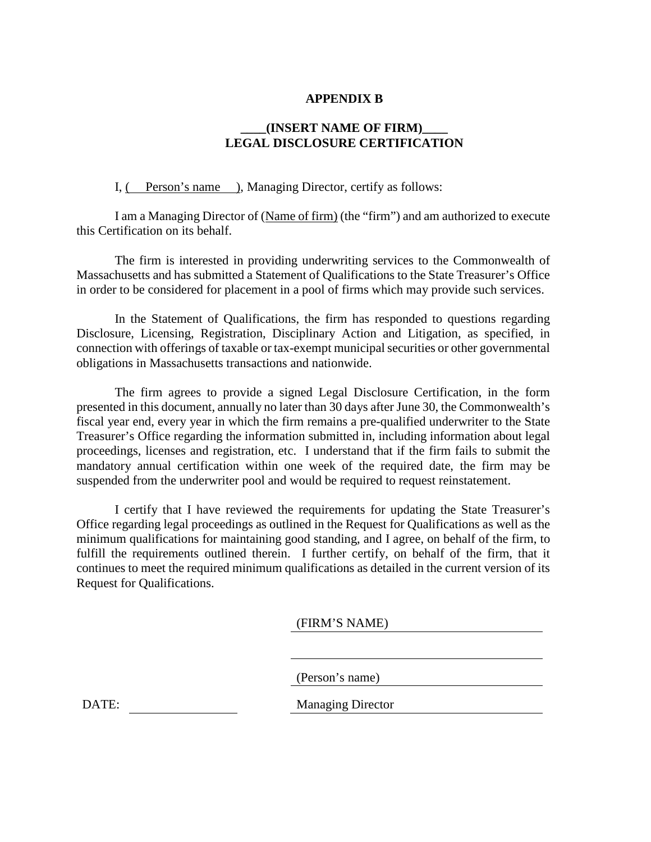#### **APPENDIX B**

#### **\_\_\_\_(INSERT NAME OF FIRM)\_\_\_\_ LEGAL DISCLOSURE CERTIFICATION**

I, ( Person's name ), Managing Director, certify as follows:

I am a Managing Director of (Name of firm) (the "firm") and am authorized to execute this Certification on its behalf.

The firm is interested in providing underwriting services to the Commonwealth of Massachusetts and has submitted a Statement of Qualifications to the State Treasurer's Office in order to be considered for placement in a pool of firms which may provide such services.

In the Statement of Qualifications, the firm has responded to questions regarding Disclosure, Licensing, Registration, Disciplinary Action and Litigation, as specified, in connection with offerings of taxable or tax-exempt municipal securities or other governmental obligations in Massachusetts transactions and nationwide.

The firm agrees to provide a signed Legal Disclosure Certification, in the form presented in this document, annually no later than 30 days after June 30, the Commonwealth's fiscal year end, every year in which the firm remains a pre-qualified underwriter to the State Treasurer's Office regarding the information submitted in, including information about legal proceedings, licenses and registration, etc. I understand that if the firm fails to submit the mandatory annual certification within one week of the required date, the firm may be suspended from the underwriter pool and would be required to request reinstatement.

I certify that I have reviewed the requirements for updating the State Treasurer's Office regarding legal proceedings as outlined in the Request for Qualifications as well as the minimum qualifications for maintaining good standing, and I agree, on behalf of the firm, to fulfill the requirements outlined therein. I further certify, on behalf of the firm, that it continues to meet the required minimum qualifications as detailed in the current version of its Request for Qualifications.

(FIRM'S NAME)

(Person's name)

DATE: Managing Director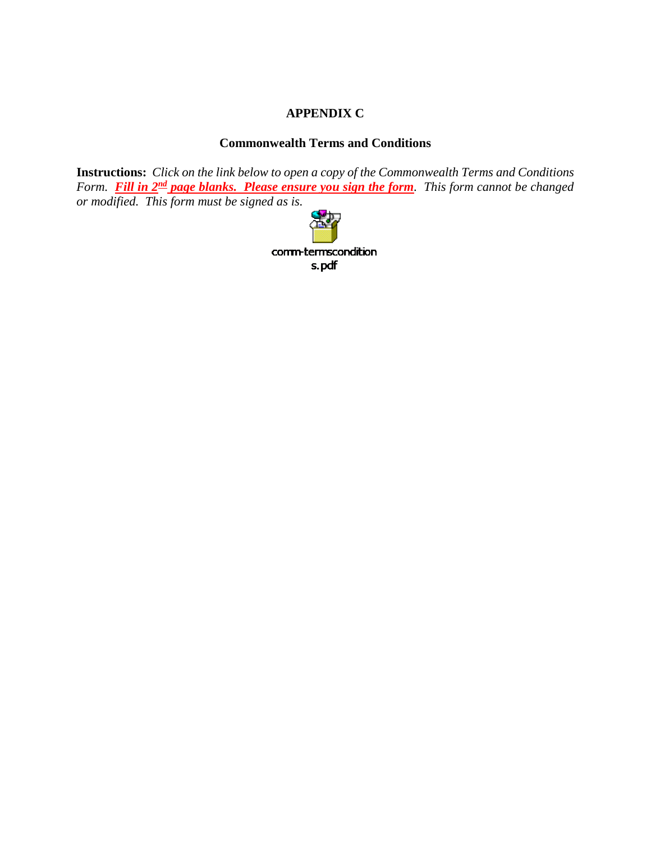## **APPENDIX C**

## **Commonwealth Terms and Conditions**

**Instructions:** *Click on the link below to open a copy of the Commonwealth Terms and Conditions Form.* Fill in 2<sup>nd</sup> page blanks. Please ensure you sign the form. This form cannot be changed *or modified. This form must be signed as is.* 

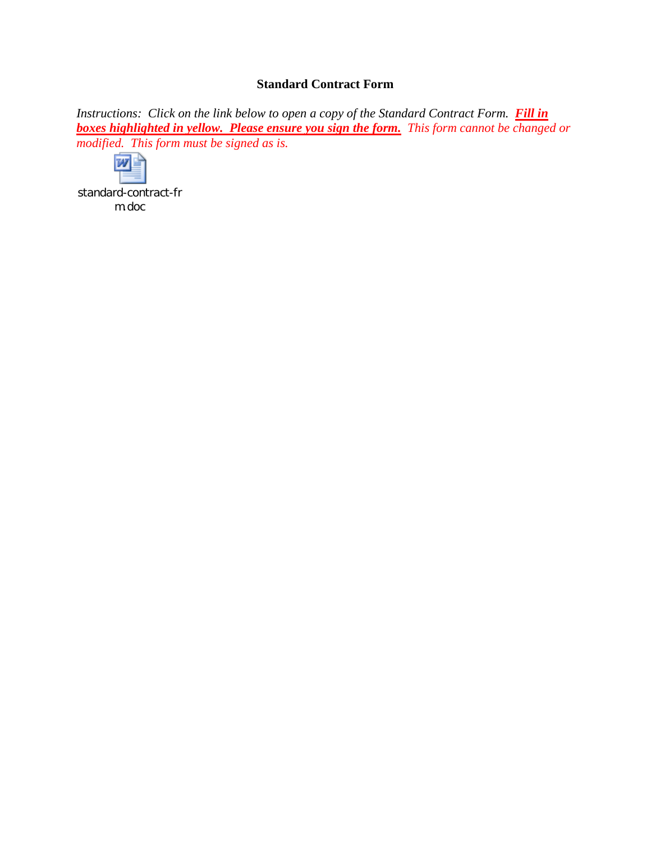## **Standard Contract Form**

*Instructions: Click on the link below to open a copy of the Standard Contract Form.* Fill in *boxes highlighted in yellow. Please ensure you sign the form. This form cannot be changed or modified. This form must be signed as is.* 



[standard-contract-fr](file://Bc2vs3/bc2data2/DEPT/DEBT/John/Standard%20Contract%20Form.doc) m.doc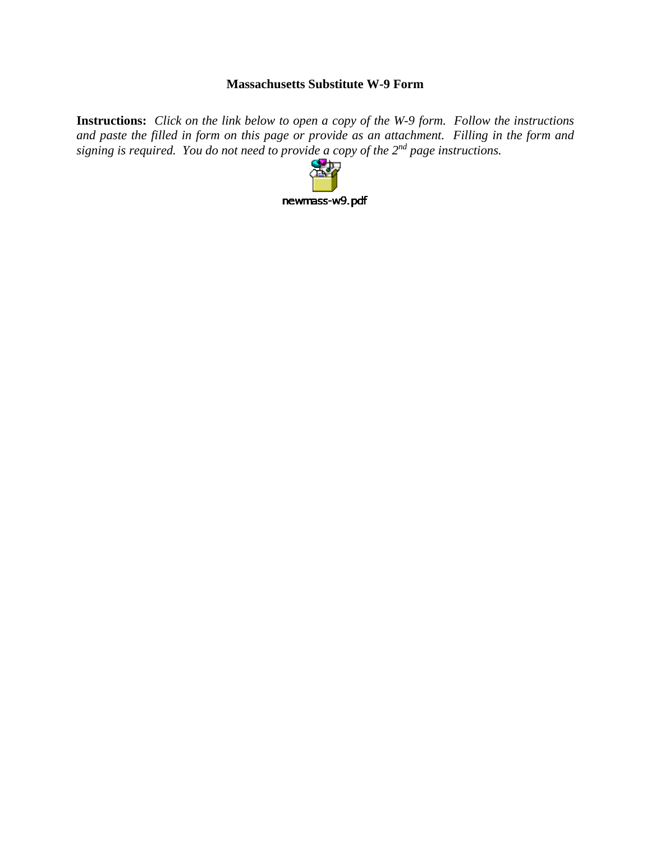## **Massachusetts Substitute W-9 Form**

**Instructions:** *Click on the link below to open a copy of the W-9 form. Follow the instructions and paste the filled in form on this page or provide as an attachment. Filling in the form and signing is required. You do not need to provide a copy of the 2nd page instructions.*

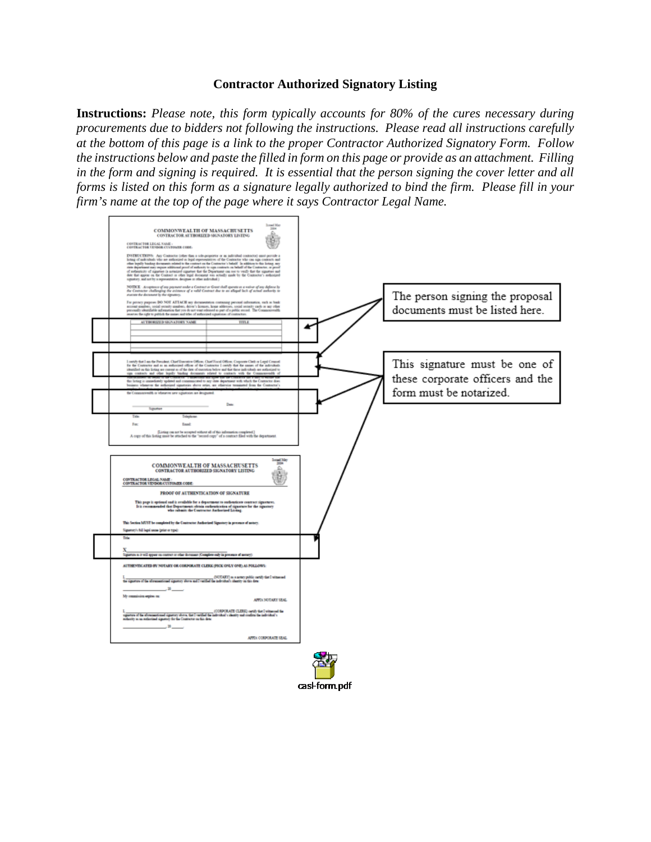#### **Contractor Authorized Signatory Listing**

**Instructions:** *Please note, this form typically accounts for 80% of the cures necessary during procurements due to bidders not following the instructions. Please read all instructions carefully at the bottom of this page is a link to the proper Contractor Authorized Signatory Form. Follow the instructions below and paste the filled in form on this page or provide as an attachment. Filling in the form and signing is required. It is essential that the person signing the cover letter and all forms is listed on this form as a signature legally authorized to bind the firm. Please fill in your firm's name at the top of the page where it says Contractor Legal Name.*



cas-form.pdf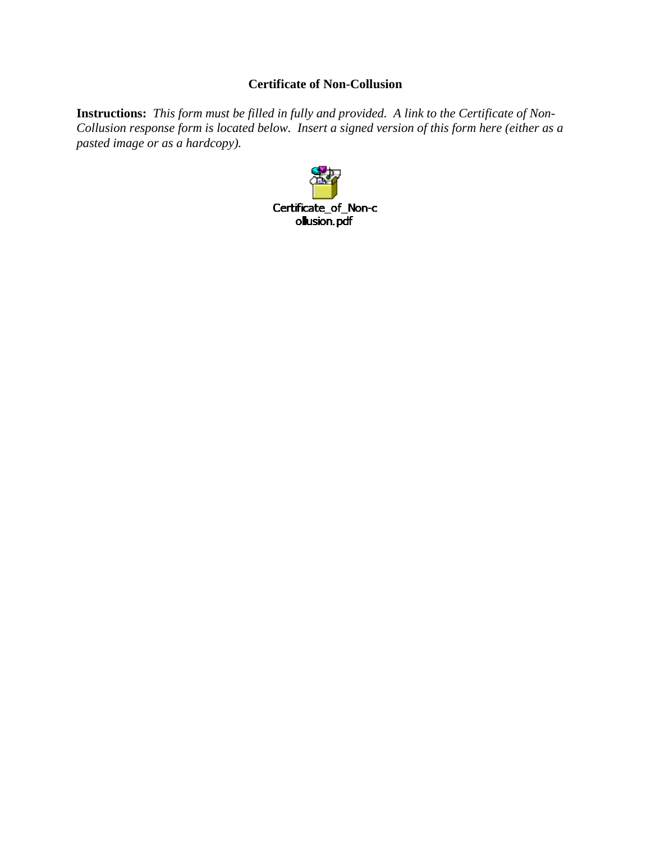## **Certificate of Non-Collusion**

**Instructions:** *This form must be filled in fully and provided. A link to the Certificate of Non-Collusion response form is located below. Insert a signed version of this form here (either as a pasted image or as a hardcopy).*

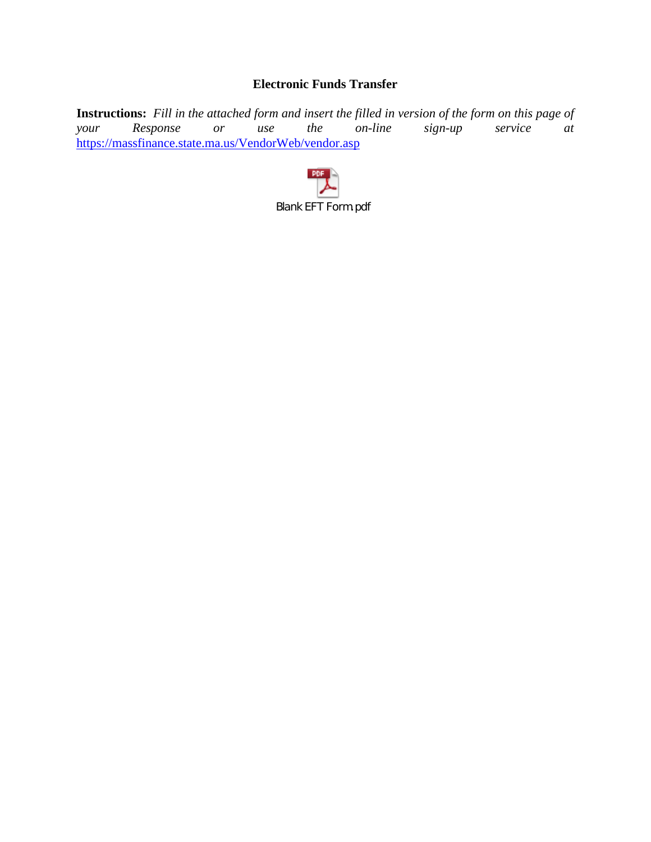# **Electronic Funds Transfer**

**Instructions:** *Fill in the attached form and insert the filled in version of the form on this page of your* Response or use the on-line sign-up service at *Response* or use the on-line sign-up service at <https://massfinance.state.ma.us/VendorWeb/vendor.asp>

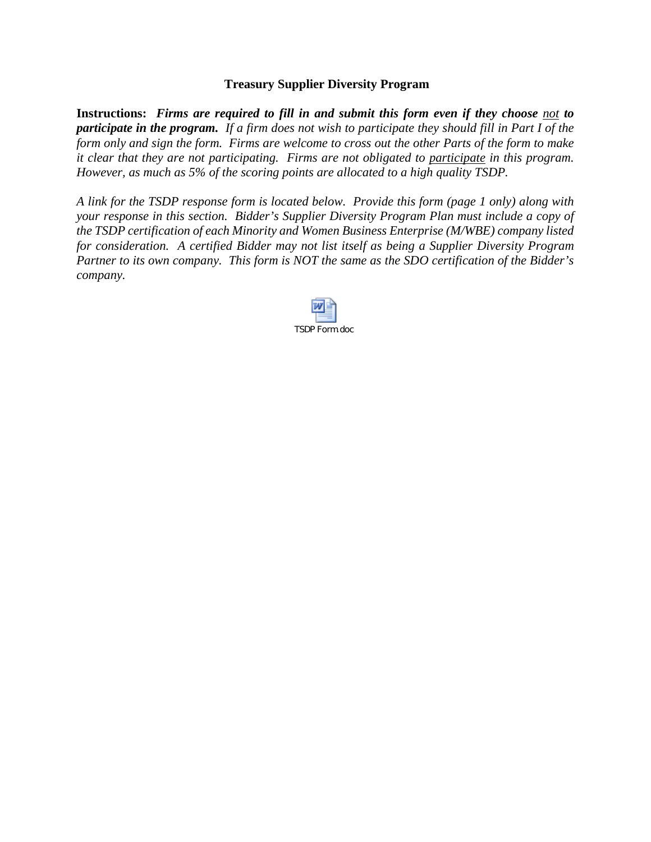#### **Treasury Supplier Diversity Program**

**Instructions:** *Firms are required to fill in and submit this form even if they choose not to participate in the program. If a firm does not wish to participate they should fill in Part I of the form only and sign the form. Firms are welcome to cross out the other Parts of the form to make it clear that they are not participating. Firms are not obligated to participate in this program. However, as much as 5% of the scoring points are allocated to a high quality TSDP.* 

*A link for the TSDP response form is located below. Provide this form (page 1 only) along with your response in this section. Bidder's Supplier Diversity Program Plan must include a copy of the TSDP certification of each Minority and Women Business Enterprise (M/WBE) company listed for consideration. A certified Bidder may not list itself as being a Supplier Diversity Program Partner to its own company. This form is NOT the same as the SDO certification of the Bidder's company.* 

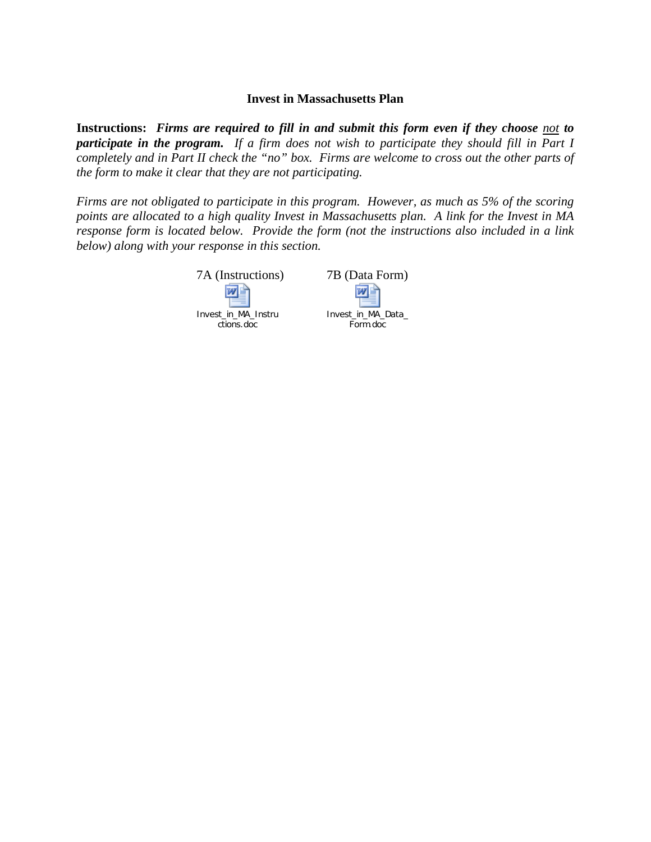#### **Invest in Massachusetts Plan**

**Instructions:** *Firms are required to fill in and submit this form even if they choose not to participate in the program. If a firm does not wish to participate they should fill in Part I completely and in Part II check the "no" box. Firms are welcome to cross out the other parts of the form to make it clear that they are not participating.* 

*Firms are not obligated to participate in this program. However, as much as 5% of the scoring points are allocated to a high quality Invest in Massachusetts plan. A link for the Invest in MA response form is located below. Provide the form (not the instructions also included in a link below) along with your response in this section.*

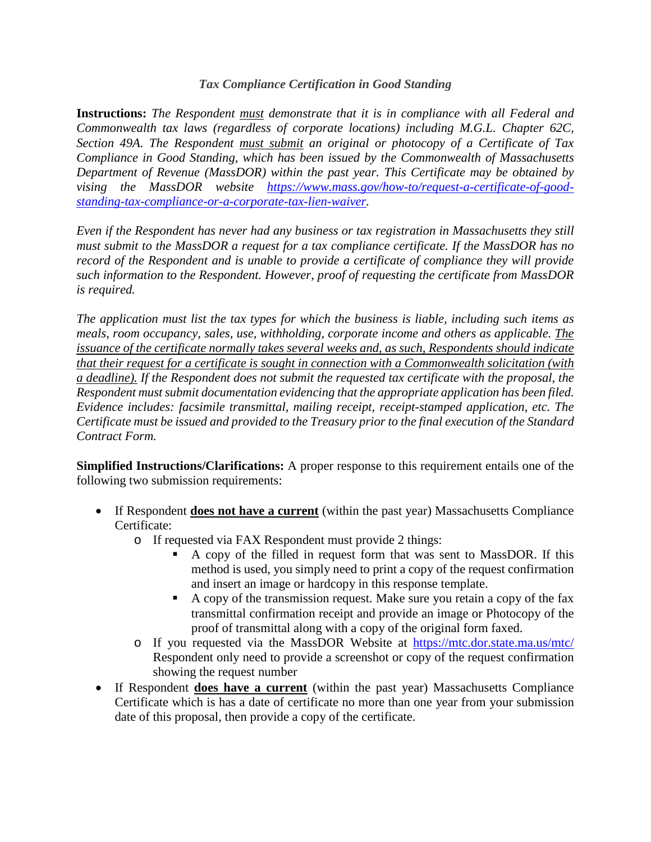## *Tax Compliance Certification in Good Standing*

**Instructions:** *The Respondent must demonstrate that it is in compliance with all Federal and Commonwealth tax laws (regardless of corporate locations) including M.G.L. Chapter 62C, Section 49A. The Respondent must submit an original or photocopy of a Certificate of Tax Compliance in Good Standing, which has been issued by the Commonwealth of Massachusetts Department of Revenue (MassDOR) within the past year. This Certificate may be obtained by vising the MassDOR website [https://www.mass.gov/how-to/request-a-certificate-of-good](https://www.mass.gov/how-to/request-a-certificate-of-good-standing-tax-compliance-or-a-corporate-tax-lien-waiver)[standing-tax-compliance-or-a-corporate-tax-lien-waiver.](https://www.mass.gov/how-to/request-a-certificate-of-good-standing-tax-compliance-or-a-corporate-tax-lien-waiver)* 

*Even if the Respondent has never had any business or tax registration in Massachusetts they still must submit to the MassDOR a request for a tax compliance certificate. If the MassDOR has no record of the Respondent and is unable to provide a certificate of compliance they will provide such information to the Respondent. However, proof of requesting the certificate from MassDOR is required.*

*The application must list the tax types for which the business is liable, including such items as meals, room occupancy, sales, use, withholding, corporate income and others as applicable. The issuance of the certificate normally takes several weeks and, as such, Respondents should indicate that their request for a certificate is sought in connection with a Commonwealth solicitation (with a deadline). If the Respondent does not submit the requested tax certificate with the proposal, the Respondent must submit documentation evidencing that the appropriate application has been filed. Evidence includes: facsimile transmittal, mailing receipt, receipt-stamped application, etc. The Certificate must be issued and provided to the Treasury prior to the final execution of the Standard Contract Form.*

**Simplified Instructions/Clarifications:** A proper response to this requirement entails one of the following two submission requirements:

- If Respondent **does not have a current** (within the past year) Massachusetts Compliance Certificate:
	- o If requested via FAX Respondent must provide 2 things:
		- A copy of the filled in request form that was sent to MassDOR. If this method is used, you simply need to print a copy of the request confirmation and insert an image or hardcopy in this response template.
		- A copy of the transmission request. Make sure you retain a copy of the fax transmittal confirmation receipt and provide an image or Photocopy of the proof of transmittal along with a copy of the original form faxed.
	- o If you requested via the MassDOR Website at<https://mtc.dor.state.ma.us/mtc/> Respondent only need to provide a screenshot or copy of the request confirmation showing the request number
- If Respondent **does have a current** (within the past year) Massachusetts Compliance Certificate which is has a date of certificate no more than one year from your submission date of this proposal, then provide a copy of the certificate.